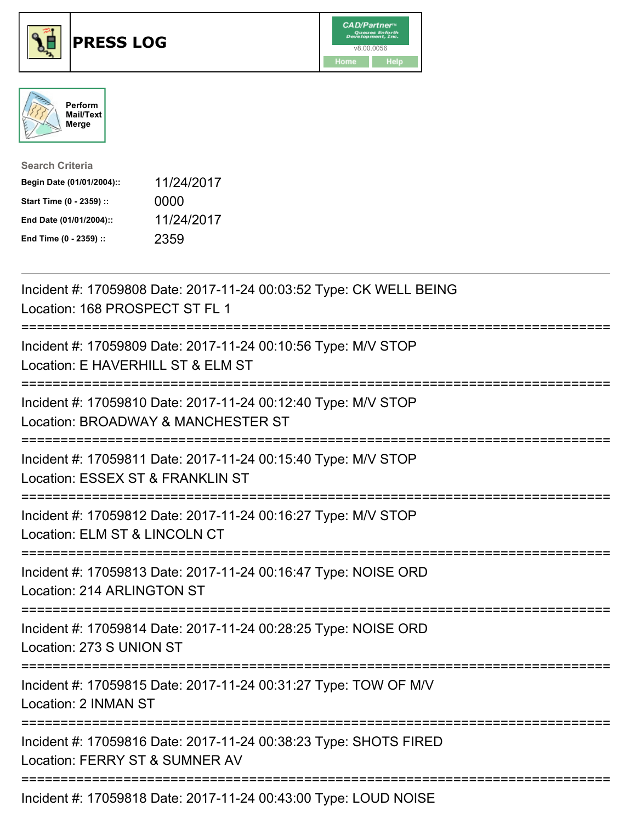





| <b>Search Criteria</b>    |            |
|---------------------------|------------|
| Begin Date (01/01/2004):: | 11/24/2017 |
| Start Time (0 - 2359) ::  | 0000       |
| End Date (01/01/2004)::   | 11/24/2017 |
| End Time (0 - 2359) ::    | 2359       |

| Incident #: 17059808 Date: 2017-11-24 00:03:52 Type: CK WELL BEING<br>Location: 168 PROSPECT ST FL 1                                                                          |
|-------------------------------------------------------------------------------------------------------------------------------------------------------------------------------|
| Incident #: 17059809 Date: 2017-11-24 00:10:56 Type: M/V STOP<br>Location: E HAVERHILL ST & ELM ST<br>:=======================                                                |
| Incident #: 17059810 Date: 2017-11-24 00:12:40 Type: M/V STOP<br>Location: BROADWAY & MANCHESTER ST<br>:=========================                                             |
| Incident #: 17059811 Date: 2017-11-24 00:15:40 Type: M/V STOP<br>Location: ESSEX ST & FRANKLIN ST<br>:========================<br>-------------<br>========================== |
| Incident #: 17059812 Date: 2017-11-24 00:16:27 Type: M/V STOP<br>Location: ELM ST & LINCOLN CT                                                                                |
| Incident #: 17059813 Date: 2017-11-24 00:16:47 Type: NOISE ORD<br>Location: 214 ARLINGTON ST                                                                                  |
| Incident #: 17059814 Date: 2017-11-24 00:28:25 Type: NOISE ORD<br>Location: 273 S UNION ST                                                                                    |
| Incident #: 17059815 Date: 2017-11-24 00:31:27 Type: TOW OF M/V<br>Location: 2 INMAN ST                                                                                       |
| Incident #: 17059816 Date: 2017-11-24 00:38:23 Type: SHOTS FIRED<br>Location: FERRY ST & SUMNER AV                                                                            |
| Incident #: 17059818 Date: 2017-11-24 00:43:00 Type: LOUD NOISE                                                                                                               |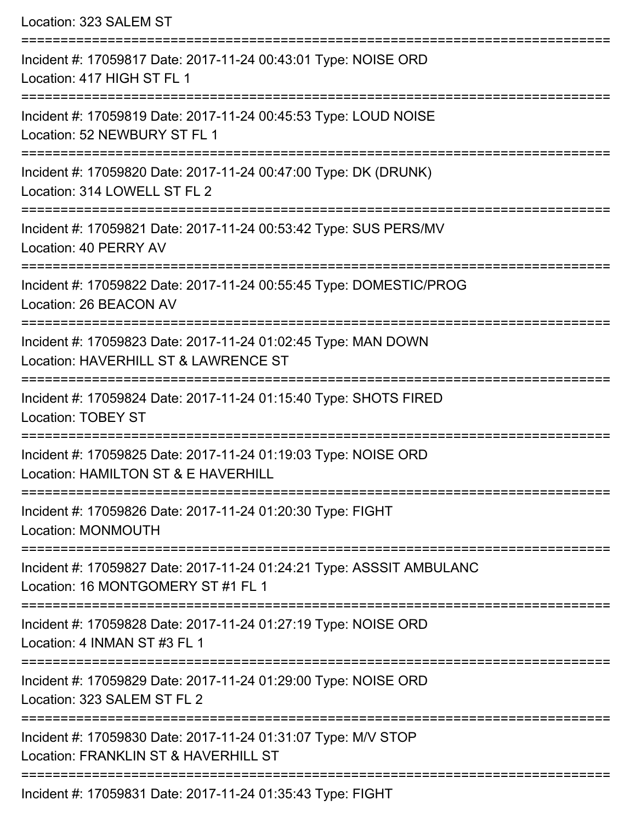| Location: 323 SALEM ST                                                                                                         |
|--------------------------------------------------------------------------------------------------------------------------------|
| Incident #: 17059817 Date: 2017-11-24 00:43:01 Type: NOISE ORD<br>Location: 417 HIGH ST FL 1                                   |
| Incident #: 17059819 Date: 2017-11-24 00:45:53 Type: LOUD NOISE<br>Location: 52 NEWBURY ST FL 1<br>:========================== |
| Incident #: 17059820 Date: 2017-11-24 00:47:00 Type: DK (DRUNK)<br>Location: 314 LOWELL ST FL 2                                |
| Incident #: 17059821 Date: 2017-11-24 00:53:42 Type: SUS PERS/MV<br>Location: 40 PERRY AV                                      |
| Incident #: 17059822 Date: 2017-11-24 00:55:45 Type: DOMESTIC/PROG<br>Location: 26 BEACON AV                                   |
| Incident #: 17059823 Date: 2017-11-24 01:02:45 Type: MAN DOWN<br>Location: HAVERHILL ST & LAWRENCE ST                          |
| :=================<br>Incident #: 17059824 Date: 2017-11-24 01:15:40 Type: SHOTS FIRED<br><b>Location: TOBEY ST</b>            |
| Incident #: 17059825 Date: 2017-11-24 01:19:03 Type: NOISE ORD<br>Location: HAMILTON ST & E HAVERHILL                          |
| Incident #: 17059826 Date: 2017-11-24 01:20:30 Type: FIGHT<br>Location: MONMOUTH                                               |
| Incident #: 17059827 Date: 2017-11-24 01:24:21 Type: ASSSIT AMBULANC<br>Location: 16 MONTGOMERY ST #1 FL 1                     |
| Incident #: 17059828 Date: 2017-11-24 01:27:19 Type: NOISE ORD<br>Location: 4 INMAN ST #3 FL 1                                 |
| Incident #: 17059829 Date: 2017-11-24 01:29:00 Type: NOISE ORD<br>Location: 323 SALEM ST FL 2                                  |
| ----------------<br>Incident #: 17059830 Date: 2017-11-24 01:31:07 Type: M/V STOP<br>Location: FRANKLIN ST & HAVERHILL ST      |
| Incident #: 17059831 Date: 2017-11-24 01:35:43 Type: FIGHT                                                                     |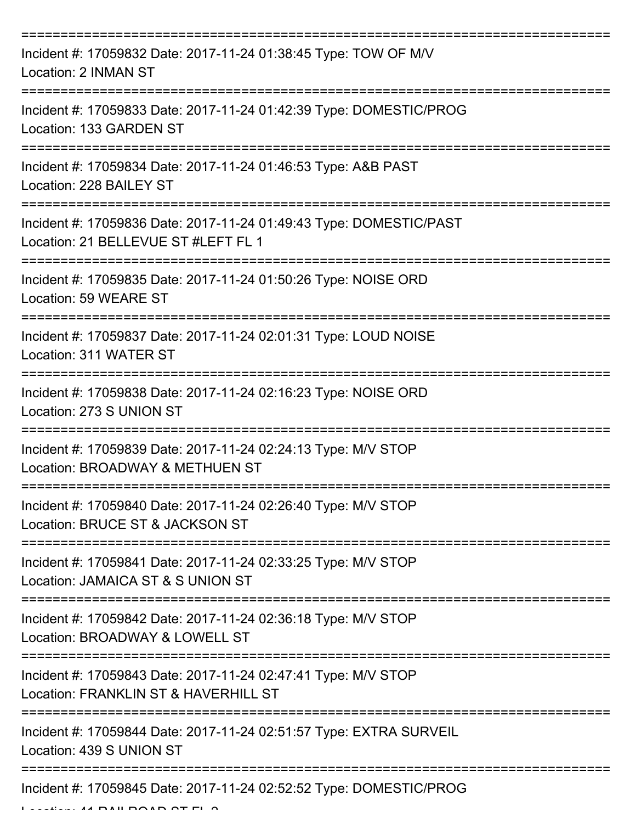| Incident #: 17059832 Date: 2017-11-24 01:38:45 Type: TOW OF M/V<br>Location: 2 INMAN ST                                     |
|-----------------------------------------------------------------------------------------------------------------------------|
| Incident #: 17059833 Date: 2017-11-24 01:42:39 Type: DOMESTIC/PROG<br>Location: 133 GARDEN ST                               |
| Incident #: 17059834 Date: 2017-11-24 01:46:53 Type: A&B PAST<br>Location: 228 BAILEY ST                                    |
| Incident #: 17059836 Date: 2017-11-24 01:49:43 Type: DOMESTIC/PAST<br>Location: 21 BELLEVUE ST #LEFT FL 1                   |
| Incident #: 17059835 Date: 2017-11-24 01:50:26 Type: NOISE ORD<br>Location: 59 WEARE ST<br>:=============================== |
| Incident #: 17059837 Date: 2017-11-24 02:01:31 Type: LOUD NOISE<br>Location: 311 WATER ST                                   |
| Incident #: 17059838 Date: 2017-11-24 02:16:23 Type: NOISE ORD<br>Location: 273 S UNION ST                                  |
| Incident #: 17059839 Date: 2017-11-24 02:24:13 Type: M/V STOP<br>Location: BROADWAY & METHUEN ST                            |
| Incident #: 17059840 Date: 2017-11-24 02:26:40 Type: M/V STOP<br>Location: BRUCE ST & JACKSON ST                            |
| Incident #: 17059841 Date: 2017-11-24 02:33:25 Type: M/V STOP<br>Location: JAMAICA ST & S UNION ST                          |
| Incident #: 17059842 Date: 2017-11-24 02:36:18 Type: M/V STOP<br>Location: BROADWAY & LOWELL ST                             |
| Incident #: 17059843 Date: 2017-11-24 02:47:41 Type: M/V STOP<br>Location: FRANKLIN ST & HAVERHILL ST                       |
| Incident #: 17059844 Date: 2017-11-24 02:51:57 Type: EXTRA SURVEIL<br>Location: 439 S UNION ST                              |
| Incident #: 17059845 Date: 2017-11-24 02:52:52 Type: DOMESTIC/PROG                                                          |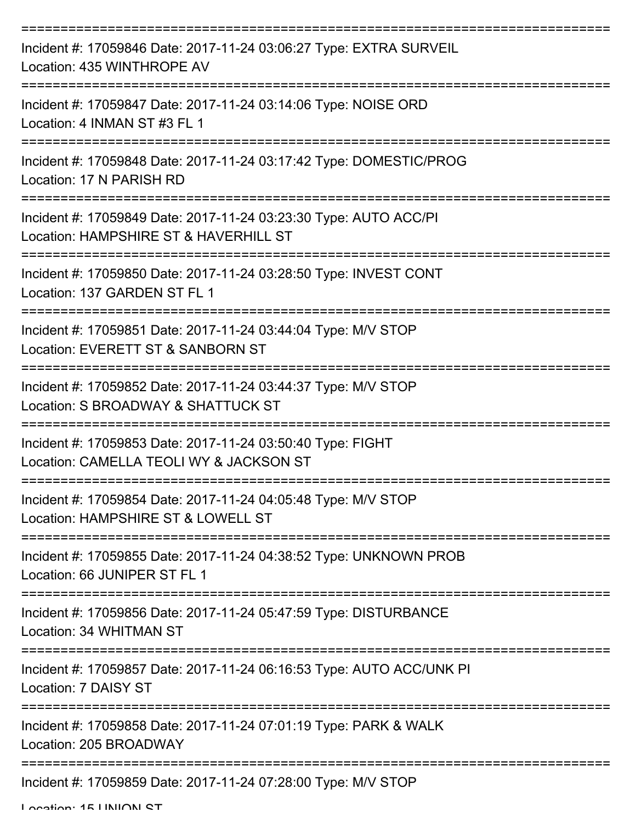| Incident #: 17059846 Date: 2017-11-24 03:06:27 Type: EXTRA SURVEIL<br>Location: 435 WINTHROPE AV          |
|-----------------------------------------------------------------------------------------------------------|
| Incident #: 17059847 Date: 2017-11-24 03:14:06 Type: NOISE ORD<br>Location: 4 INMAN ST #3 FL 1            |
| Incident #: 17059848 Date: 2017-11-24 03:17:42 Type: DOMESTIC/PROG<br>Location: 17 N PARISH RD            |
| Incident #: 17059849 Date: 2017-11-24 03:23:30 Type: AUTO ACC/PI<br>Location: HAMPSHIRE ST & HAVERHILL ST |
| Incident #: 17059850 Date: 2017-11-24 03:28:50 Type: INVEST CONT<br>Location: 137 GARDEN ST FL 1          |
| Incident #: 17059851 Date: 2017-11-24 03:44:04 Type: M/V STOP<br>Location: EVERETT ST & SANBORN ST        |
| Incident #: 17059852 Date: 2017-11-24 03:44:37 Type: M/V STOP<br>Location: S BROADWAY & SHATTUCK ST       |
| Incident #: 17059853 Date: 2017-11-24 03:50:40 Type: FIGHT<br>Location: CAMELLA TEOLI WY & JACKSON ST     |
| Incident #: 17059854 Date: 2017-11-24 04:05:48 Type: M/V STOP<br>Location: HAMPSHIRE ST & LOWELL ST       |
| Incident #: 17059855 Date: 2017-11-24 04:38:52 Type: UNKNOWN PROB<br>Location: 66 JUNIPER ST FL 1         |
| Incident #: 17059856 Date: 2017-11-24 05:47:59 Type: DISTURBANCE<br>Location: 34 WHITMAN ST               |
| Incident #: 17059857 Date: 2017-11-24 06:16:53 Type: AUTO ACC/UNK PI<br>Location: 7 DAISY ST              |
| Incident #: 17059858 Date: 2017-11-24 07:01:19 Type: PARK & WALK<br>Location: 205 BROADWAY                |
| Incident #: 17059859 Date: 2017-11-24 07:28:00 Type: M/V STOP                                             |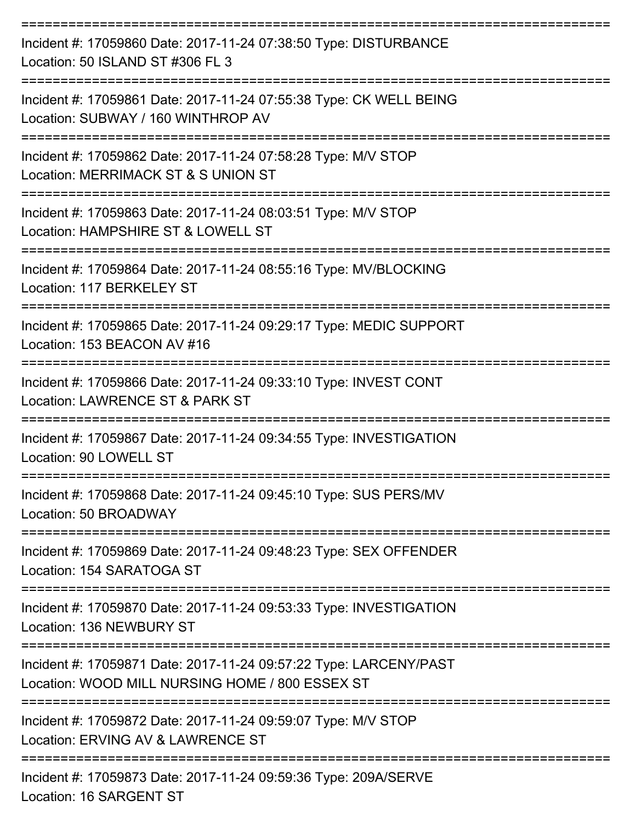| Incident #: 17059860 Date: 2017-11-24 07:38:50 Type: DISTURBANCE<br>Location: 50 ISLAND ST #306 FL 3                 |
|----------------------------------------------------------------------------------------------------------------------|
| Incident #: 17059861 Date: 2017-11-24 07:55:38 Type: CK WELL BEING<br>Location: SUBWAY / 160 WINTHROP AV             |
| Incident #: 17059862 Date: 2017-11-24 07:58:28 Type: M/V STOP<br>Location: MERRIMACK ST & S UNION ST                 |
| Incident #: 17059863 Date: 2017-11-24 08:03:51 Type: M/V STOP<br>Location: HAMPSHIRE ST & LOWELL ST                  |
| Incident #: 17059864 Date: 2017-11-24 08:55:16 Type: MV/BLOCKING<br>Location: 117 BERKELEY ST                        |
| Incident #: 17059865 Date: 2017-11-24 09:29:17 Type: MEDIC SUPPORT<br>Location: 153 BEACON AV #16                    |
| Incident #: 17059866 Date: 2017-11-24 09:33:10 Type: INVEST CONT<br>Location: LAWRENCE ST & PARK ST                  |
| Incident #: 17059867 Date: 2017-11-24 09:34:55 Type: INVESTIGATION<br>Location: 90 LOWELL ST                         |
| Incident #: 17059868 Date: 2017-11-24 09:45:10 Type: SUS PERS/MV<br>Location: 50 BROADWAY                            |
| Incident #: 17059869 Date: 2017-11-24 09:48:23 Type: SEX OFFENDER<br>Location: 154 SARATOGA ST                       |
| Incident #: 17059870 Date: 2017-11-24 09:53:33 Type: INVESTIGATION<br>Location: 136 NEWBURY ST                       |
| Incident #: 17059871 Date: 2017-11-24 09:57:22 Type: LARCENY/PAST<br>Location: WOOD MILL NURSING HOME / 800 ESSEX ST |
| Incident #: 17059872 Date: 2017-11-24 09:59:07 Type: M/V STOP<br>Location: ERVING AV & LAWRENCE ST                   |
| Incident #: 17059873 Date: 2017-11-24 09:59:36 Type: 209A/SERVE                                                      |

Location: 16 SARGENT ST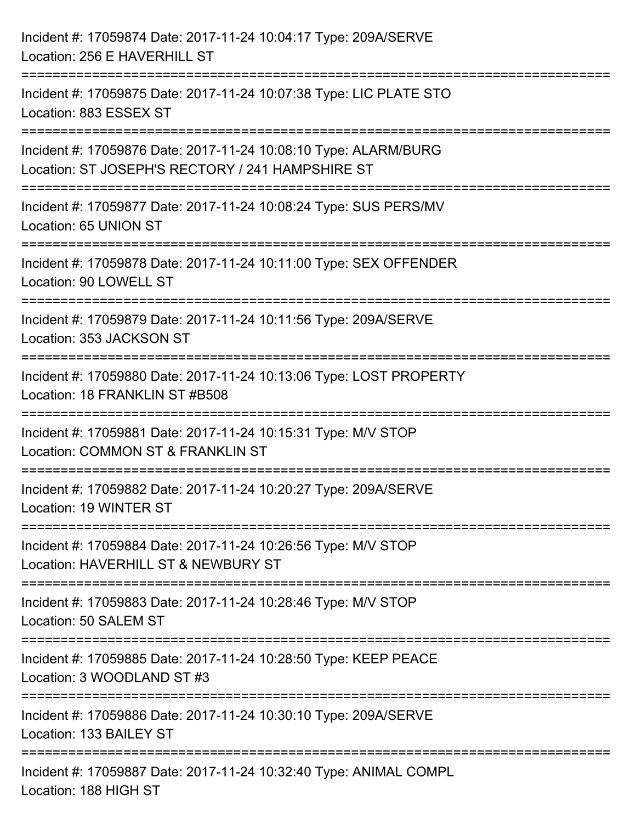| Incident #: 17059874 Date: 2017-11-24 10:04:17 Type: 209A/SERVE<br>Location: 256 E HAVERHILL ST                                                                                               |
|-----------------------------------------------------------------------------------------------------------------------------------------------------------------------------------------------|
| ======================================<br>------------------------<br>Incident #: 17059875 Date: 2017-11-24 10:07:38 Type: LIC PLATE STO<br>Location: 883 ESSEX ST<br>----------------------- |
| Incident #: 17059876 Date: 2017-11-24 10:08:10 Type: ALARM/BURG<br>Location: ST JOSEPH'S RECTORY / 241 HAMPSHIRE ST                                                                           |
| Incident #: 17059877 Date: 2017-11-24 10:08:24 Type: SUS PERS/MV<br>Location: 65 UNION ST                                                                                                     |
| Incident #: 17059878 Date: 2017-11-24 10:11:00 Type: SEX OFFENDER<br>Location: 90 LOWELL ST                                                                                                   |
| Incident #: 17059879 Date: 2017-11-24 10:11:56 Type: 209A/SERVE<br>Location: 353 JACKSON ST                                                                                                   |
| Incident #: 17059880 Date: 2017-11-24 10:13:06 Type: LOST PROPERTY<br>Location: 18 FRANKLIN ST #B508                                                                                          |
| Incident #: 17059881 Date: 2017-11-24 10:15:31 Type: M/V STOP<br>Location: COMMON ST & FRANKLIN ST                                                                                            |
| Incident #: 17059882 Date: 2017-11-24 10:20:27 Type: 209A/SERVE<br>Location: 19 WINTER ST                                                                                                     |
| Incident #: 17059884 Date: 2017-11-24 10:26:56 Type: M/V STOP<br>Location: HAVERHILL ST & NEWBURY ST                                                                                          |
| Incident #: 17059883 Date: 2017-11-24 10:28:46 Type: M/V STOP<br>Location: 50 SALEM ST                                                                                                        |
| Incident #: 17059885 Date: 2017-11-24 10:28:50 Type: KEEP PEACE<br>Location: 3 WOODLAND ST #3                                                                                                 |
| Incident #: 17059886 Date: 2017-11-24 10:30:10 Type: 209A/SERVE<br>Location: 133 BAILEY ST                                                                                                    |
| Incident #: 17059887 Date: 2017-11-24 10:32:40 Type: ANIMAL COMPL<br>Location: 188 HIGH ST                                                                                                    |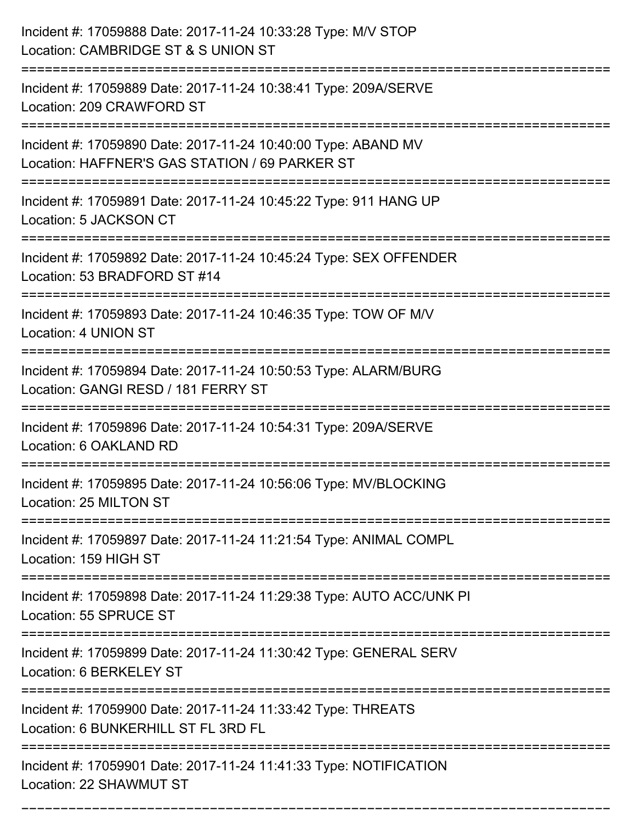| Incident #: 17059888 Date: 2017-11-24 10:33:28 Type: M/V STOP<br>Location: CAMBRIDGE ST & S UNION ST            |
|-----------------------------------------------------------------------------------------------------------------|
| Incident #: 17059889 Date: 2017-11-24 10:38:41 Type: 209A/SERVE<br>Location: 209 CRAWFORD ST                    |
| Incident #: 17059890 Date: 2017-11-24 10:40:00 Type: ABAND MV<br>Location: HAFFNER'S GAS STATION / 69 PARKER ST |
| Incident #: 17059891 Date: 2017-11-24 10:45:22 Type: 911 HANG UP<br>Location: 5 JACKSON CT                      |
| Incident #: 17059892 Date: 2017-11-24 10:45:24 Type: SEX OFFENDER<br>Location: 53 BRADFORD ST #14               |
| Incident #: 17059893 Date: 2017-11-24 10:46:35 Type: TOW OF M/V<br>Location: 4 UNION ST                         |
| Incident #: 17059894 Date: 2017-11-24 10:50:53 Type: ALARM/BURG<br>Location: GANGI RESD / 181 FERRY ST          |
| Incident #: 17059896 Date: 2017-11-24 10:54:31 Type: 209A/SERVE<br>Location: 6 OAKLAND RD                       |
| Incident #: 17059895 Date: 2017-11-24 10:56:06 Type: MV/BLOCKING<br>Location: 25 MILTON ST                      |
| Incident #: 17059897 Date: 2017-11-24 11:21:54 Type: ANIMAL COMPL<br>Location: 159 HIGH ST                      |
| Incident #: 17059898 Date: 2017-11-24 11:29:38 Type: AUTO ACC/UNK PI<br>Location: 55 SPRUCE ST                  |
| Incident #: 17059899 Date: 2017-11-24 11:30:42 Type: GENERAL SERV<br>Location: 6 BERKELEY ST                    |
| Incident #: 17059900 Date: 2017-11-24 11:33:42 Type: THREATS<br>Location: 6 BUNKERHILL ST FL 3RD FL             |
| Incident #: 17059901 Date: 2017-11-24 11:41:33 Type: NOTIFICATION<br>Location: 22 SHAWMUT ST                    |

===========================================================================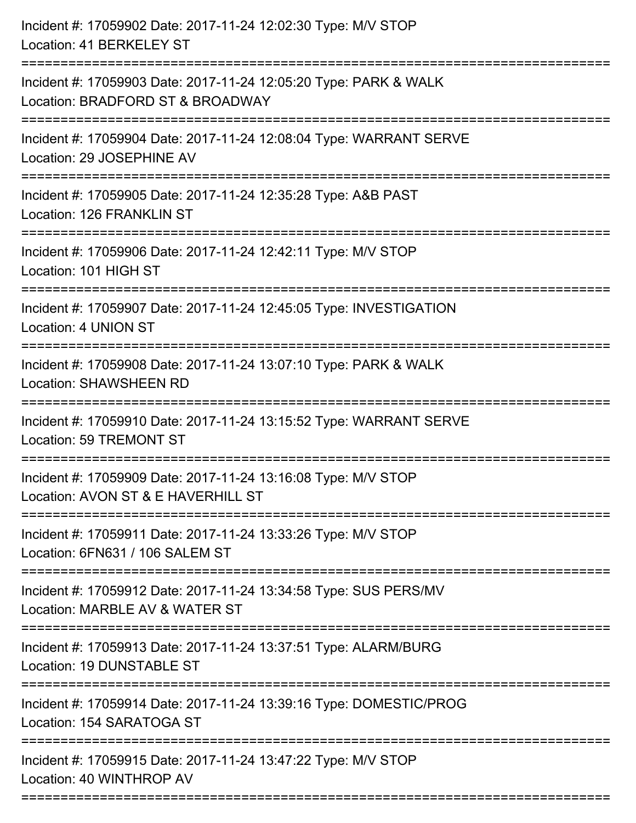| Incident #: 17059902 Date: 2017-11-24 12:02:30 Type: M/V STOP<br>Location: 41 BERKELEY ST            |
|------------------------------------------------------------------------------------------------------|
| Incident #: 17059903 Date: 2017-11-24 12:05:20 Type: PARK & WALK<br>Location: BRADFORD ST & BROADWAY |
| Incident #: 17059904 Date: 2017-11-24 12:08:04 Type: WARRANT SERVE<br>Location: 29 JOSEPHINE AV      |
| Incident #: 17059905 Date: 2017-11-24 12:35:28 Type: A&B PAST<br>Location: 126 FRANKLIN ST           |
| Incident #: 17059906 Date: 2017-11-24 12:42:11 Type: M/V STOP<br>Location: 101 HIGH ST               |
| Incident #: 17059907 Date: 2017-11-24 12:45:05 Type: INVESTIGATION<br>Location: 4 UNION ST           |
| Incident #: 17059908 Date: 2017-11-24 13:07:10 Type: PARK & WALK<br><b>Location: SHAWSHEEN RD</b>    |
| Incident #: 17059910 Date: 2017-11-24 13:15:52 Type: WARRANT SERVE<br>Location: 59 TREMONT ST        |
| Incident #: 17059909 Date: 2017-11-24 13:16:08 Type: M/V STOP<br>Location: AVON ST & E HAVERHILL ST  |
| Incident #: 17059911 Date: 2017-11-24 13:33:26 Type: M/V STOP<br>Location: 6FN631 / 106 SALEM ST     |
| Incident #: 17059912 Date: 2017-11-24 13:34:58 Type: SUS PERS/MV<br>Location: MARBLE AV & WATER ST   |
| Incident #: 17059913 Date: 2017-11-24 13:37:51 Type: ALARM/BURG<br>Location: 19 DUNSTABLE ST         |
| Incident #: 17059914 Date: 2017-11-24 13:39:16 Type: DOMESTIC/PROG<br>Location: 154 SARATOGA ST      |
| Incident #: 17059915 Date: 2017-11-24 13:47:22 Type: M/V STOP<br>Location: 40 WINTHROP AV            |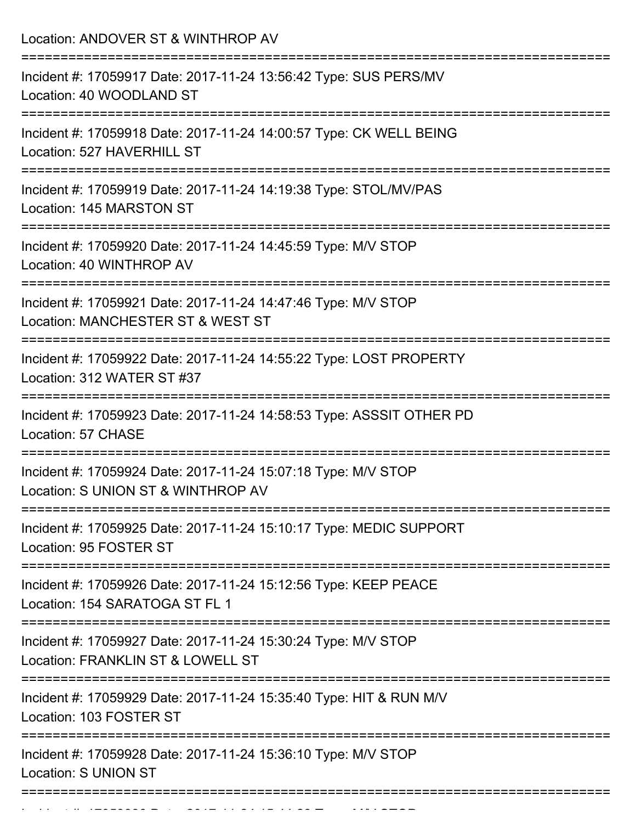| Location: ANDOVER ST & WINTHROP AV                                                                  |
|-----------------------------------------------------------------------------------------------------|
| Incident #: 17059917 Date: 2017-11-24 13:56:42 Type: SUS PERS/MV<br>Location: 40 WOODLAND ST        |
| Incident #: 17059918 Date: 2017-11-24 14:00:57 Type: CK WELL BEING<br>Location: 527 HAVERHILL ST    |
| Incident #: 17059919 Date: 2017-11-24 14:19:38 Type: STOL/MV/PAS<br>Location: 145 MARSTON ST        |
| Incident #: 17059920 Date: 2017-11-24 14:45:59 Type: M/V STOP<br>Location: 40 WINTHROP AV           |
| Incident #: 17059921 Date: 2017-11-24 14:47:46 Type: M/V STOP<br>Location: MANCHESTER ST & WEST ST  |
| Incident #: 17059922 Date: 2017-11-24 14:55:22 Type: LOST PROPERTY<br>Location: 312 WATER ST #37    |
| Incident #: 17059923 Date: 2017-11-24 14:58:53 Type: ASSSIT OTHER PD<br>Location: 57 CHASE          |
| Incident #: 17059924 Date: 2017-11-24 15:07:18 Type: M/V STOP<br>Location: S UNION ST & WINTHROP AV |
| Incident #: 17059925 Date: 2017-11-24 15:10:17 Type: MEDIC SUPPORT<br>Location: 95 FOSTER ST        |
| Incident #: 17059926 Date: 2017-11-24 15:12:56 Type: KEEP PEACE<br>Location: 154 SARATOGA ST FL 1   |
| Incident #: 17059927 Date: 2017-11-24 15:30:24 Type: M/V STOP<br>Location: FRANKLIN ST & LOWELL ST  |
| Incident #: 17059929 Date: 2017-11-24 15:35:40 Type: HIT & RUN M/V<br>Location: 103 FOSTER ST       |
| Incident #: 17059928 Date: 2017-11-24 15:36:10 Type: M/V STOP<br><b>Location: S UNION ST</b>        |

Incident #: 17059930 Date: 2017 11 24 15:44:29 Type: M/V STOP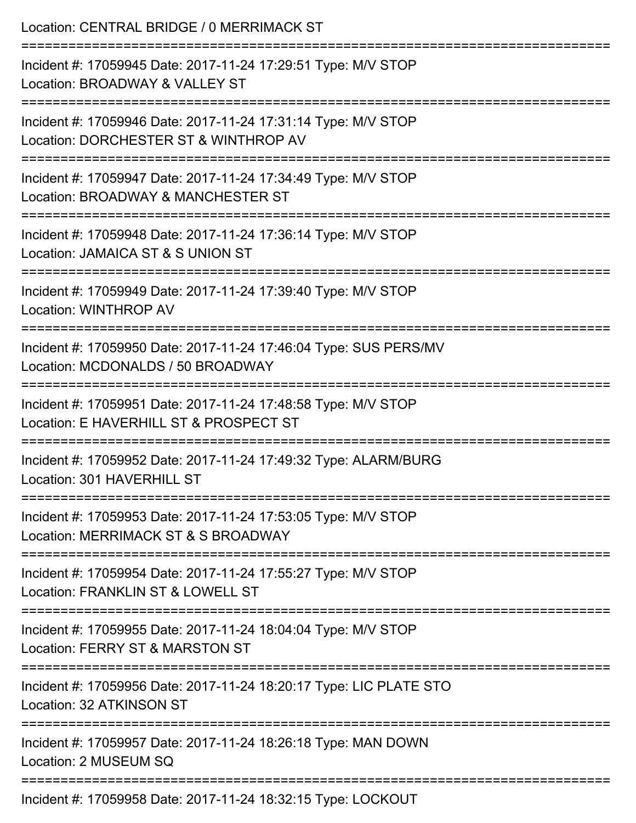| Location: CENTRAL BRIDGE / 0 MERRIMACK ST<br>-------------------------                                                                   |
|------------------------------------------------------------------------------------------------------------------------------------------|
| Incident #: 17059945 Date: 2017-11-24 17:29:51 Type: M/V STOP<br>Location: BROADWAY & VALLEY ST                                          |
| Incident #: 17059946 Date: 2017-11-24 17:31:14 Type: M/V STOP<br>Location: DORCHESTER ST & WINTHROP AV                                   |
| =================================<br>Incident #: 17059947 Date: 2017-11-24 17:34:49 Type: M/V STOP<br>Location: BROADWAY & MANCHESTER ST |
| Incident #: 17059948 Date: 2017-11-24 17:36:14 Type: M/V STOP<br>Location: JAMAICA ST & S UNION ST                                       |
| Incident #: 17059949 Date: 2017-11-24 17:39:40 Type: M/V STOP<br>Location: WINTHROP AV                                                   |
| Incident #: 17059950 Date: 2017-11-24 17:46:04 Type: SUS PERS/MV<br>Location: MCDONALDS / 50 BROADWAY                                    |
| Incident #: 17059951 Date: 2017-11-24 17:48:58 Type: M/V STOP<br>Location: E HAVERHILL ST & PROSPECT ST                                  |
| Incident #: 17059952 Date: 2017-11-24 17:49:32 Type: ALARM/BURG<br>Location: 301 HAVERHILL ST                                            |
| Incident #: 17059953 Date: 2017-11-24 17:53:05 Type: M/V STOP<br>Location: MERRIMACK ST & S BROADWAY                                     |
| Incident #: 17059954 Date: 2017-11-24 17:55:27 Type: M/V STOP<br>Location: FRANKLIN ST & LOWELL ST                                       |
| Incident #: 17059955 Date: 2017-11-24 18:04:04 Type: M/V STOP<br>Location: FERRY ST & MARSTON ST                                         |
| Incident #: 17059956 Date: 2017-11-24 18:20:17 Type: LIC PLATE STO<br>Location: 32 ATKINSON ST                                           |
| Incident #: 17059957 Date: 2017-11-24 18:26:18 Type: MAN DOWN<br>Location: 2 MUSEUM SQ                                                   |
| Incident #: 17059958 Date: 2017-11-24 18:32:15 Type: LOCKOUT                                                                             |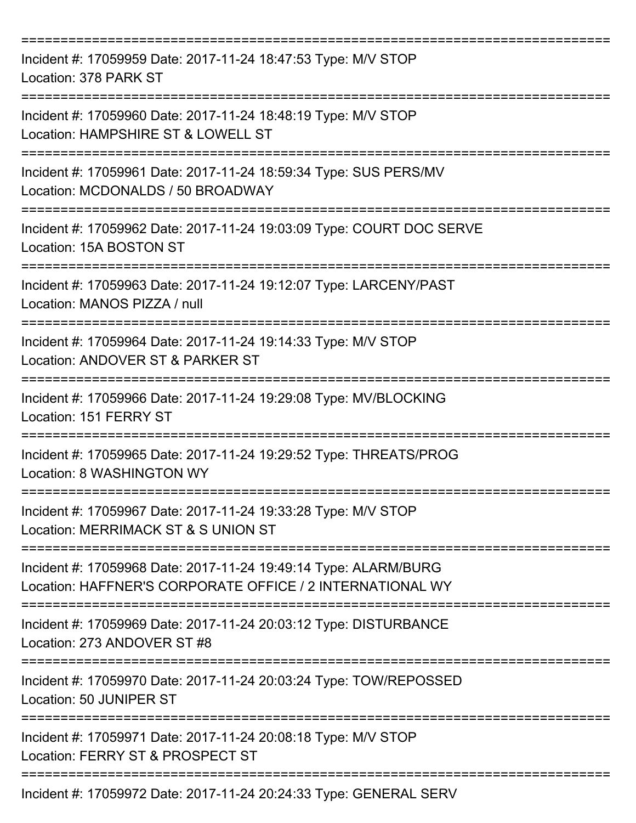| Incident #: 17059959 Date: 2017-11-24 18:47:53 Type: M/V STOP<br>Location: 378 PARK ST                                       |
|------------------------------------------------------------------------------------------------------------------------------|
| Incident #: 17059960 Date: 2017-11-24 18:48:19 Type: M/V STOP<br>Location: HAMPSHIRE ST & LOWELL ST                          |
| Incident #: 17059961 Date: 2017-11-24 18:59:34 Type: SUS PERS/MV<br>Location: MCDONALDS / 50 BROADWAY                        |
| Incident #: 17059962 Date: 2017-11-24 19:03:09 Type: COURT DOC SERVE<br>Location: 15A BOSTON ST                              |
| Incident #: 17059963 Date: 2017-11-24 19:12:07 Type: LARCENY/PAST<br>Location: MANOS PIZZA / null                            |
| Incident #: 17059964 Date: 2017-11-24 19:14:33 Type: M/V STOP<br>Location: ANDOVER ST & PARKER ST                            |
| Incident #: 17059966 Date: 2017-11-24 19:29:08 Type: MV/BLOCKING<br>Location: 151 FERRY ST                                   |
| Incident #: 17059965 Date: 2017-11-24 19:29:52 Type: THREATS/PROG<br>Location: 8 WASHINGTON WY                               |
| Incident #: 17059967 Date: 2017-11-24 19:33:28 Type: M/V STOP<br>Location: MERRIMACK ST & S UNION ST                         |
| Incident #: 17059968 Date: 2017-11-24 19:49:14 Type: ALARM/BURG<br>Location: HAFFNER'S CORPORATE OFFICE / 2 INTERNATIONAL WY |
| Incident #: 17059969 Date: 2017-11-24 20:03:12 Type: DISTURBANCE<br>Location: 273 ANDOVER ST #8                              |
| Incident #: 17059970 Date: 2017-11-24 20:03:24 Type: TOW/REPOSSED<br>Location: 50 JUNIPER ST                                 |
| Incident #: 17059971 Date: 2017-11-24 20:08:18 Type: M/V STOP<br>Location: FERRY ST & PROSPECT ST                            |
| Incident #: 17059972 Date: 2017-11-24 20:24:33 Type: GENERAL SERV                                                            |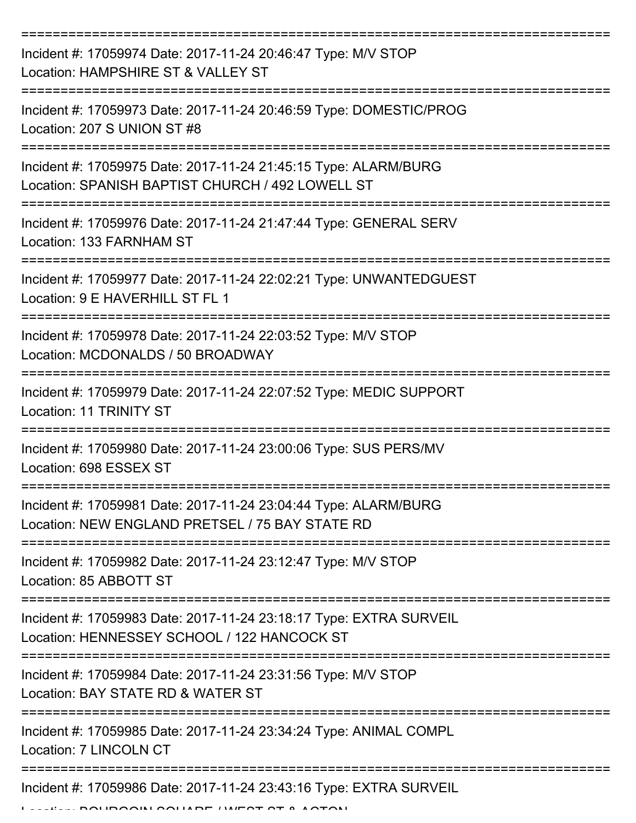| Incident #: 17059974 Date: 2017-11-24 20:46:47 Type: M/V STOP<br>Location: HAMPSHIRE ST & VALLEY ST                 |
|---------------------------------------------------------------------------------------------------------------------|
| Incident #: 17059973 Date: 2017-11-24 20:46:59 Type: DOMESTIC/PROG<br>Location: 207 S UNION ST #8                   |
| Incident #: 17059975 Date: 2017-11-24 21:45:15 Type: ALARM/BURG<br>Location: SPANISH BAPTIST CHURCH / 492 LOWELL ST |
| Incident #: 17059976 Date: 2017-11-24 21:47:44 Type: GENERAL SERV<br>Location: 133 FARNHAM ST                       |
| Incident #: 17059977 Date: 2017-11-24 22:02:21 Type: UNWANTEDGUEST<br>Location: 9 E HAVERHILL ST FL 1               |
| Incident #: 17059978 Date: 2017-11-24 22:03:52 Type: M/V STOP<br>Location: MCDONALDS / 50 BROADWAY                  |
| Incident #: 17059979 Date: 2017-11-24 22:07:52 Type: MEDIC SUPPORT<br>Location: 11 TRINITY ST                       |
| Incident #: 17059980 Date: 2017-11-24 23:00:06 Type: SUS PERS/MV<br>Location: 698 ESSEX ST                          |
| Incident #: 17059981 Date: 2017-11-24 23:04:44 Type: ALARM/BURG<br>Location: NEW ENGLAND PRETSEL / 75 BAY STATE RD  |
| Incident #: 17059982 Date: 2017-11-24 23:12:47 Type: M/V STOP<br>Location: 85 ABBOTT ST                             |
| Incident #: 17059983 Date: 2017-11-24 23:18:17 Type: EXTRA SURVEIL<br>Location: HENNESSEY SCHOOL / 122 HANCOCK ST   |
| Incident #: 17059984 Date: 2017-11-24 23:31:56 Type: M/V STOP<br>Location: BAY STATE RD & WATER ST                  |
| Incident #: 17059985 Date: 2017-11-24 23:34:24 Type: ANIMAL COMPL<br>Location: 7 LINCOLN CT                         |
| Incident #: 17059986 Date: 2017-11-24 23:43:16 Type: EXTRA SURVEIL                                                  |